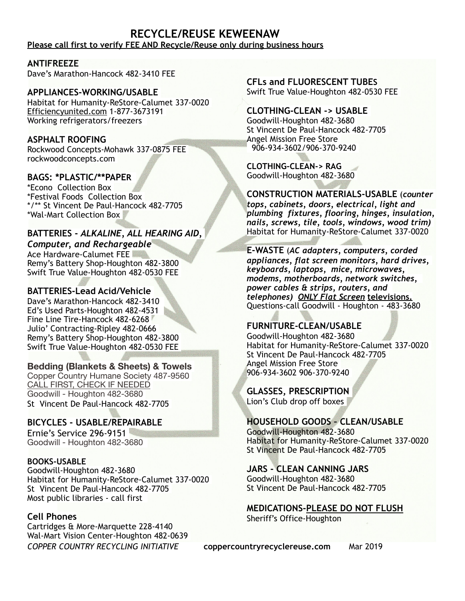### **RECYCLE/REUSE KEWEENAW Please call first to verify FEE AND Recycle/Reuse only during business hours**

**ANTIFREEZE** 

Dave's Marathon-Hancock 482-3410 FEE

### **APPLIANCES-WORKING/USABLE**

Habitat for Humanity-ReStore-Calumet 337-0020 Efficiencyunited.com 1-877-3673191 Working refrigerators/freezers

# **ASPHALT ROOFING**

Rockwood Concepts-Mohawk 337-0875 FEE rockwoodconcepts.com

# **BAGS: \*PLASTIC/\*\*PAPER**

\*Econo Collection Box \*Festival Foods Collection Box \*/\*\* St Vincent De Paul-Hancock 482-7705 \*Wal-Mart Collection Box

# **BATTERIES -** *ALKALINE, ALL HEARING AID,*

*Computer, and Rechargeable* Ace Hardware-Calumet FEE Remy's Battery Shop-Houghton 482-3800 Swift True Value-Houghton 482-0530 FEE

# **BATTERIES-Lead Acid/Vehicle**

Dave's Marathon-Hancock 482-3410 Ed's Used Parts-Houghton 482-4531 Fine Line Tire-Hancock 482-6268 Julio' Contracting-Ripley 482-0666 Remy's Battery Shop-Houghton 482-3800 Swift True Value-Houghton 482-0530 FEE

# **Bedding (Blankets & Sheets) & Towels**

Copper Country Humane Society 487-9560 CALL FIRST, CHECK IF NEEDED Goodwill - Houghton 482-3680 St Vincent De Paul-Hancock 482-7705

# **BICYCLES - USABLE/REPAIRABLE**

Ernie's Service 296-9151 Goodwill - Houghton 482-3680

### **BOOKS-USABLE**

Goodwill-Houghton 482-3680 Habitat for Humanity-ReStore-Calumet 337-0020 St Vincent De Paul-Hancock 482-7705 Most public libraries - call first

### **Cell Phones**

Cartridges & More-Marquette 228-4140 Wal-Mart Vision Center-Houghton 482-0639 **CFLs and FLUORESCENT TUBES** Swift True Value-Houghton 482-0530 FEE

### **CLOTHING-CLEAN -> USABLE**

Goodwill-Houghton 482-3680 St Vincent De Paul-Hancock 482-7705 Angel Mission Free Store 906-934-3602/906-370-9240

#### **CLOTHING-CLEAN-> RAG** Goodwill-Houghton 482-3680

**CONSTRUCTION MATERIALS-USABLE** (*counter* 

*tops, cabinets, doors, electrical, light and plumbing fixtures, flooring, hinges, insulation, nails, screws, tile, tools, windows, wood trim)*  Habitat for Humanity-ReStore-Calumet 337-0020

**E-WASTE** (*AC adapters, computers, corded appliances, flat screen monitors, hard drives, keyboards, laptops, mice, microwaves, modems, motherboards, network switches, power cables & strips, routers, and telephones) ONLY Flat Screen* **televisions.** Questions-call Goodwill - Houghton - 483-3680

# **FURNITURE-CLEAN/USABLE**

Goodwill-Houghton 482-3680 Habitat for Humanity-ReStore-Calumet 337-0020 St Vincent De Paul-Hancock 482-7705 Angel Mission Free Store 906-934-3602 906-370-9240

**GLASSES, PRESCRIPTION** 

Lion's Club drop off boxes

# **HOUSEHOLD GOODS – CLEAN/USABLE**

Goodwill-Houghton 482-3680 Habitat for Humanity-ReStore-Calumet 337-0020 St Vincent De Paul-Hancock 482-7705

### **JARS - CLEAN CANNING JARS**

Goodwill-Houghton 482-3680 St Vincent De Paul-Hancock 482-7705

**MEDICATIONS-PLEASE DO NOT FLUSH** Sheriff's Office-Houghton

*COPPER COUNTRY RECYCLING INITIATIVE* **[coppercountryrecyclereuse.com](http://coppercountryrecyclereuse.com/)** Mar 2019